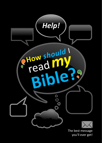

you'll ever get!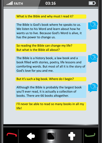### What is the Bible and why must I read it?

The Bible is God's book where he speaks to us. We listen to his Word and learn about how he wants us to live. Because God's Word is alive, it has the power to change us.

So reading the Bible can change my life? But what is the Bible all about?

The Bible is a history book, a law book and a book filled with stories, poetry, life lessons and comforting words. But most of all it is the story of God's love for you and me.

### But it's such a big book. Where do I begin?

Although the Bible is probably the largest book you'll ever read, it is actually a collection of books. There are 66 books altogether.

I'll never be able to read so many books in all my life!





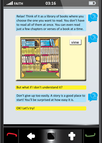Relax! Think of it as a library of books where you choose the one you want to read. You don't have to read all of them at once. You can even read just a few chapters or verses of a book at a time.

view



But what if I don't understand it?

Don't give up too easily. A story is a good place to start! You'll be surprised at how easy it is.



OK! Let's try!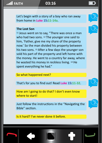Let's begin with a story of a boy who ran away from home in **Luke 15:11-14a**.

### **The Lost Son**

<sup>11</sup> Jesus went on to say, "There was once a man who had two sons. <sup>12</sup> The younger one said to him, 'Father, give me my share of the property now.' So the man divided his property between his two sons. <sup>13</sup> After a few days the younger son sold his part of the property and left home with the money. He went to a country far away, where he wasted his money in reckless living. 14 He spent everything he had."

So what happened next?

That's for you to find out! Read **Luke 15:11-32**.

How am I going to do that? I don't even know where to start!

Just follow the instructions in the "Navigating the Bible" section.

Is it hard? I've never done it before.







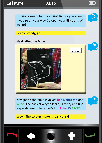

It's like learning to ride a bike! Before you know it you're on your way. So open your Bible and off we go!



view

Ready, steady, go!

### **Navigating the Bible**



Navigating the Bible involves **book**, **chapter**, and **verse**. The easiest way to learn, is to try and find a specific example: so let's find **Luke 15:11-32**.



Wow! The colours make it really easy!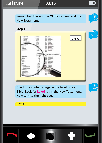Remember, there is the Old Testament and the New Testament.

### **Step 1:**



Check the contents page in the front of your Bible. Look for **Luke!** It's in the New Testament. Now turn to the right page.

### Got it!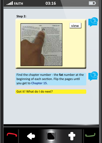### **Step 2:**



Find the chapter number - the **fat** number at the beginning of each section. Flip the pages until you get to **Chapter 15**.

Got it! What do I do next?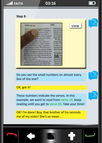### **Step 3:**



Do you see the small numbers on almost every line of the text?

### OK, got it!

These numbers indicate the verses. In this example, we want to read from **verse 14**. Keep reading until you get to **verse 32**. Take your time!

OK! I'm done! Boy, that brother of his reminds me of my sister! She's so mean ...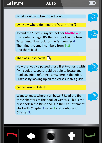What would you like to find now?

## OK! Now where do I find the "Our Father"?

To find the "Lord's Prayer" look for **Matthew** in the contents page. It's the first book in the New Testament. Now look for the **fat** number **6**. Then find the small numbers from **9-13**. And there it is!

### That wasn't so hard! m

Now that you've passed these first two tests with flying colours, you should be able to locate and read any Bible reference anywhere in the Bible. Practise by looking up all the verses in this guide!

### OK! Where do I start?

Want to know where it all began? Read the first three chapters of the book of Genesis. This is the first book in the Bible and is in the Old Testament. Start with Chapter **1** verse **1** and continue into Chapter **3**.







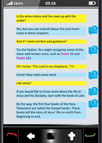

Is this where Adam and Eve meet up with the snake?

Yes, but you can read all about this and much more in these chapters.

And if I need comfort and guidance?

Try the Psalms. You might recognise some of the more well-known ones, such as **Psalm 23** and **Psalm 121**.

Oh I know "The Lord is my shepherd..."!!!

Great! Now read some more.

Like what?

If you would like to know more about the life of Jesus and his disciples, start with the book of Luke.

By the way, the first four books of the New Testament are called the Gospel books. These books tell the story of Jesus' life on earth from beginning to end.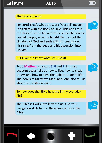### That's good news!

For sure! That's what the word "Gospel" means! Let's start with the book of Luke. This book tells the story of Jesus' life and work on earth: how he healed people, what he taught them about the kingdom of God and ends with his crucifixion, his rising from the dead and his ascension into heaven.

But I want to know what Jesus said!

Read **Matthew** chapters **5**, **6** and **7**. In these chapters Jesus tells us how to live, how to treat others and how to have the right attitude to life. The books of Matthew, Mark and John also tell us about Jesus' life on earth.

So how does the Bible help me in my everyday life?

The Bible is God's love letter to us! Use your navigation skills to find these love notes in the Bible.











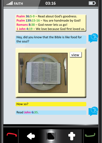**Psalm 36:5-9** − Read about God's goodness. **Psalm 139:15-16** − You are handmade by God! **Romans 8:38** − God never lets us go! **1 John 4:19** − We love because God first loved us.

Hey, did you know that the Bible is like food for the soul?





How so?

Read **John 6:35**.

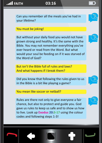Can you remember all the meals you've had in your lifetime?

### You must be joking!

But without your daily food you would not have grown strong and healthy. It's the same with the Bible. You may not remember everything you've ever heard or read from the Word. But what would your soul be feeding on if it was starved of the Word of God?

But isn't the Bible full of rules and laws? And what happens if I break them?

Did you know that following the rules given to us in the Bible is a bit like playing a game?

You mean like soccer or netball?

Rules are there not only to give everyone a fair chance, but also to protect and guide you. God gave us rules to keep us safe and to show us how to live. Look up **Exodus 20:3-17** using the colour codes and following steps 1-3!









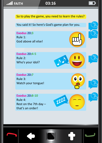

So to play the game, you need to learn the rules?

*ZZZZ*

 $\bullet$ 

You said it! So here's God's game plan for you.

**Exodus 20:3** Rule 1: God above all else!

**Exodus 20:4-5** Rule 2: Who's your idol?

**Exodus 20:7** Rule 3: Watch your tongue!

**Exodus 20:8-10** Rule 4: Rest on the 7th day – that's an order!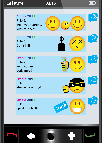

*Truth*

**Exodus 20:16** Rule 9: Speak the truth!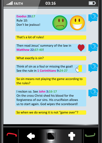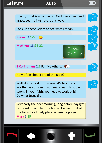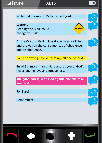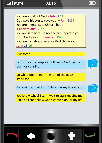You are a child of God − **John 1:12** God gave his son to save you! − **John 3:16** You are members of Christ's body − **1 Corinthians 12:27** You are safe because no one can separate you from God's love − **Romans 8:35-39** You are somebody because God chose you. **John 15:16**

### Awesome!

Jesus is your example in following God's game plan for your life!

So what does 3:16 at the top of the page stand for?

To remind you of John 3:16 − the key to salvation.

You know what? I can't wait to start reading my Bible so I can follow God's game plan for my life!